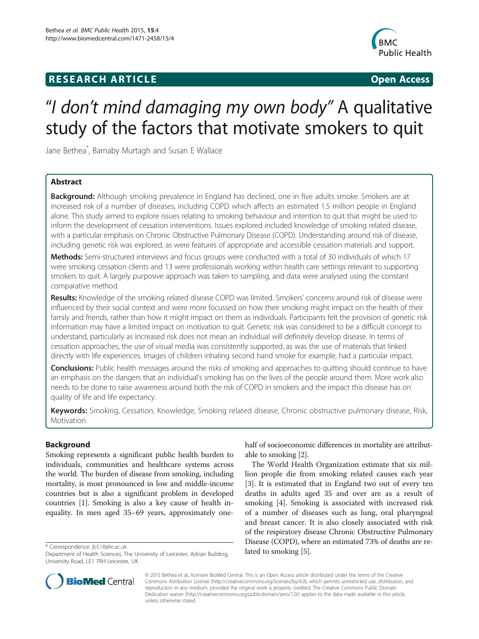## **RESEARCH ARTICLE Example 2014 CONSIDERING CONSIDERING CONSIDERING CONSIDERING CONSIDERING CONSIDERING CONSIDERING CONSIDERING CONSIDERING CONSIDERING CONSIDERING CONSIDERING CONSIDERING CONSIDERING CONSIDERING CONSIDE**



# "I don't mind damaging my own body" A qualitative study of the factors that motivate smokers to quit

Jane Bethea\* , Barnaby Murtagh and Susan E Wallace

## Abstract

Background: Although smoking prevalence in England has declined, one in five adults smoke. Smokers are at increased risk of a number of diseases, including COPD which affects an estimated 1.5 million people in England alone. This study aimed to explore issues relating to smoking behaviour and intention to quit that might be used to inform the development of cessation interventions. Issues explored included knowledge of smoking related disease, with a particular emphasis on Chronic Obstructive Pulmonary Disease (COPD). Understanding around risk of disease, including genetic risk was explored, as were features of appropriate and accessible cessation materials and support.

Methods: Semi-structured interviews and focus groups were conducted with a total of 30 individuals of which 17 were smoking cessation clients and 13 were professionals working within health care settings relevant to supporting smokers to quit. A largely purposive approach was taken to sampling, and data were analysed using the constant comparative method.

Results: Knowledge of the smoking related disease COPD was limited. Smokers' concerns around risk of disease were influenced by their social context and were more focussed on how their smoking might impact on the health of their family and friends, rather than how it might impact on them as individuals. Participants felt the provision of genetic risk information may have a limited impact on motivation to quit. Genetic risk was considered to be a difficult concept to understand, particularly as increased risk does not mean an individual will definitely develop disease. In terms of cessation approaches, the use of visual media was consistently supported, as was the use of materials that linked directly with life experiences. Images of children inhaling second hand smoke for example, had a particular impact.

**Conclusions:** Public health messages around the risks of smoking and approaches to quitting should continue to have an emphasis on the dangers that an individual's smoking has on the lives of the people around them. More work also needs to be done to raise awareness around both the risk of COPD in smokers and the impact this disease has on quality of life and life expectancy.

Keywords: Smoking, Cessation, Knowledge, Smoking related disease, Chronic obstructive pulmonary disease, Risk, Motivation

## Background

Smoking represents a significant public health burden to individuals, communities and healthcare systems across the world. The burden of disease from smoking, including mortality, is most pronounced in low and middle-income countries but is also a significant problem in developed countries [\[1](#page-7-0)]. Smoking is also a key cause of health inequality. In men aged 35–69 years, approximately one-

half of socioeconomic differences in mortality are attributable to smoking [\[2\]](#page-7-0).

The World Health Organization estimate that six million people die from smoking related causes each year [[3\]](#page-7-0). It is estimated that in England two out of every ten deaths in adults aged 35 and over are as a result of smoking [[4\]](#page-7-0). Smoking is associated with increased risk of a number of diseases such as lung, oral pharyngeal and breast cancer. It is also closely associated with risk of the respiratory disease Chronic Obstructive Pulmonary Disease (COPD), where an estimated 73% of deaths are re-



© 2015 Bethea et al.; licensee BioMed Central. This is an Open Access article distributed under the terms of the Creative Commons Attribution License [\(http://creativecommons.org/licenses/by/4.0\)](http://creativecommons.org/licenses/by/4.0), which permits unrestricted use, distribution, and reproduction in any medium, provided the original work is properly credited. The Creative Commons Public Domain Dedication waiver [\(http://creativecommons.org/publicdomain/zero/1.0/](http://creativecommons.org/publicdomain/zero/1.0/)) applies to the data made available in this article, unless otherwise stated.

<sup>\*</sup> Correspondence: [jb518@le.ac.uk](mailto:jb518@le.ac.uk)<br>Department of Health Sciences, The University of Leicester, Adrian Building, **lated to smoking [\[5](#page-7-0)].** University Road, LE1 7RH Leicester, UK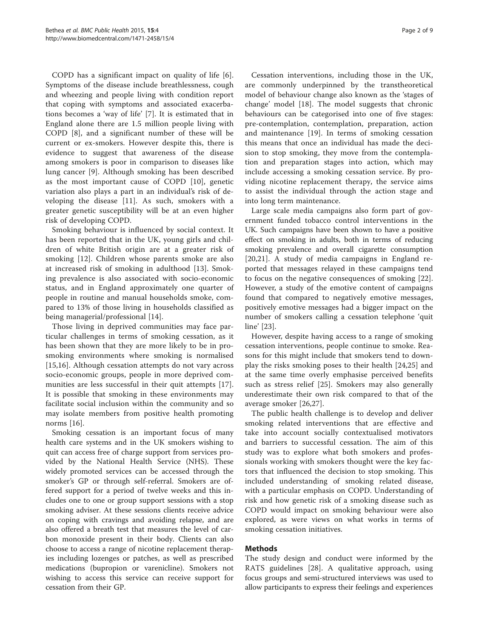COPD has a significant impact on quality of life [\[6](#page-7-0)]. Symptoms of the disease include breathlessness, cough and wheezing and people living with condition report that coping with symptoms and associated exacerbations becomes a 'way of life' [[7\]](#page-7-0). It is estimated that in England alone there are 1.5 million people living with COPD [[8](#page-7-0)], and a significant number of these will be current or ex-smokers. However despite this, there is evidence to suggest that awareness of the disease among smokers is poor in comparison to diseases like lung cancer [\[9](#page-7-0)]. Although smoking has been described as the most important cause of COPD [[10](#page-7-0)], genetic variation also plays a part in an individual's risk of developing the disease [[11\]](#page-7-0). As such, smokers with a greater genetic susceptibility will be at an even higher risk of developing COPD.

Smoking behaviour is influenced by social context. It has been reported that in the UK, young girls and children of white British origin are at a greater risk of smoking [[12\]](#page-7-0). Children whose parents smoke are also at increased risk of smoking in adulthood [[13](#page-7-0)]. Smoking prevalence is also associated with socio-economic status, and in England approximately one quarter of people in routine and manual households smoke, compared to 13% of those living in households classified as being managerial/professional [[14\]](#page-7-0).

Those living in deprived communities may face particular challenges in terms of smoking cessation, as it has been shown that they are more likely to be in prosmoking environments where smoking is normalised [[15,16](#page-7-0)]. Although cessation attempts do not vary across socio-economic groups, people in more deprived communities are less successful in their quit attempts [\[17](#page-7-0)]. It is possible that smoking in these environments may facilitate social inclusion within the community and so may isolate members from positive health promoting norms [[16](#page-7-0)].

Smoking cessation is an important focus of many health care systems and in the UK smokers wishing to quit can access free of charge support from services provided by the National Health Service (NHS). These widely promoted services can be accessed through the smoker's GP or through self-referral. Smokers are offered support for a period of twelve weeks and this includes one to one or group support sessions with a stop smoking adviser. At these sessions clients receive advice on coping with cravings and avoiding relapse, and are also offered a breath test that measures the level of carbon monoxide present in their body. Clients can also choose to access a range of nicotine replacement therapies including lozenges or patches, as well as prescribed medications (bupropion or varenicline). Smokers not wishing to access this service can receive support for cessation from their GP.

Cessation interventions, including those in the UK, are commonly underpinned by the transtheoretical model of behaviour change also known as the 'stages of change' model [[18\]](#page-7-0). The model suggests that chronic behaviours can be categorised into one of five stages: pre-contemplation, contemplation, preparation, action and maintenance [[19\]](#page-7-0). In terms of smoking cessation this means that once an individual has made the decision to stop smoking, they move from the contemplation and preparation stages into action, which may include accessing a smoking cessation service. By providing nicotine replacement therapy, the service aims to assist the individual through the action stage and into long term maintenance.

Large scale media campaigns also form part of government funded tobacco control interventions in the UK. Such campaigns have been shown to have a positive effect on smoking in adults, both in terms of reducing smoking prevalence and overall cigarette consumption [[20,21](#page-7-0)]. A study of media campaigns in England reported that messages relayed in these campaigns tend to focus on the negative consequences of smoking [\[22](#page-7-0)]. However, a study of the emotive content of campaigns found that compared to negatively emotive messages, positively emotive messages had a bigger impact on the number of smokers calling a cessation telephone 'quit line' [\[23](#page-7-0)].

However, despite having access to a range of smoking cessation interventions, people continue to smoke. Reasons for this might include that smokers tend to downplay the risks smoking poses to their health [[24,25\]](#page-7-0) and at the same time overly emphasise perceived benefits such as stress relief [\[25](#page-7-0)]. Smokers may also generally underestimate their own risk compared to that of the average smoker [\[26](#page-7-0),[27\]](#page-7-0).

The public health challenge is to develop and deliver smoking related interventions that are effective and take into account socially contextualised motivators and barriers to successful cessation. The aim of this study was to explore what both smokers and professionals working with smokers thought were the key factors that influenced the decision to stop smoking. This included understanding of smoking related disease, with a particular emphasis on COPD. Understanding of risk and how genetic risk of a smoking disease such as COPD would impact on smoking behaviour were also explored, as were views on what works in terms of smoking cessation initiatives.

## Methods

The study design and conduct were informed by the RATS guidelines [\[28](#page-7-0)]. A qualitative approach, using focus groups and semi-structured interviews was used to allow participants to express their feelings and experiences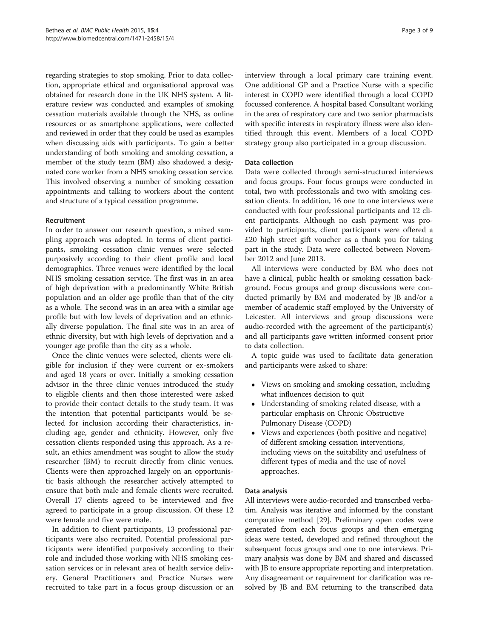regarding strategies to stop smoking. Prior to data collection, appropriate ethical and organisational approval was obtained for research done in the UK NHS system. A literature review was conducted and examples of smoking cessation materials available through the NHS, as online resources or as smartphone applications, were collected and reviewed in order that they could be used as examples when discussing aids with participants. To gain a better understanding of both smoking and smoking cessation, a member of the study team (BM) also shadowed a designated core worker from a NHS smoking cessation service. This involved observing a number of smoking cessation appointments and talking to workers about the content and structure of a typical cessation programme.

## Recruitment

In order to answer our research question, a mixed sampling approach was adopted. In terms of client participants, smoking cessation clinic venues were selected purposively according to their client profile and local demographics. Three venues were identified by the local NHS smoking cessation service. The first was in an area of high deprivation with a predominantly White British population and an older age profile than that of the city as a whole. The second was in an area with a similar age profile but with low levels of deprivation and an ethnically diverse population. The final site was in an area of ethnic diversity, but with high levels of deprivation and a younger age profile than the city as a whole.

Once the clinic venues were selected, clients were eligible for inclusion if they were current or ex-smokers and aged 18 years or over. Initially a smoking cessation advisor in the three clinic venues introduced the study to eligible clients and then those interested were asked to provide their contact details to the study team. It was the intention that potential participants would be selected for inclusion according their characteristics, including age, gender and ethnicity. However, only five cessation clients responded using this approach. As a result, an ethics amendment was sought to allow the study researcher (BM) to recruit directly from clinic venues. Clients were then approached largely on an opportunistic basis although the researcher actively attempted to ensure that both male and female clients were recruited. Overall 17 clients agreed to be interviewed and five agreed to participate in a group discussion. Of these 12 were female and five were male.

In addition to client participants, 13 professional participants were also recruited. Potential professional participants were identified purposively according to their role and included those working with NHS smoking cessation services or in relevant area of health service delivery. General Practitioners and Practice Nurses were recruited to take part in a focus group discussion or an interview through a local primary care training event. One additional GP and a Practice Nurse with a specific interest in COPD were identified through a local COPD focussed conference. A hospital based Consultant working in the area of respiratory care and two senior pharmacists with specific interests in respiratory illness were also identified through this event. Members of a local COPD strategy group also participated in a group discussion.

## Data collection

Data were collected through semi-structured interviews and focus groups. Four focus groups were conducted in total, two with professionals and two with smoking cessation clients. In addition, 16 one to one interviews were conducted with four professional participants and 12 client participants. Although no cash payment was provided to participants, client participants were offered a £20 high street gift voucher as a thank you for taking part in the study. Data were collected between November 2012 and June 2013.

All interviews were conducted by BM who does not have a clinical, public health or smoking cessation background. Focus groups and group discussions were conducted primarily by BM and moderated by JB and/or a member of academic staff employed by the University of Leicester. All interviews and group discussions were audio-recorded with the agreement of the participant(s) and all participants gave written informed consent prior to data collection.

A topic guide was used to facilitate data generation and participants were asked to share:

- Views on smoking and smoking cessation, including what influences decision to quit
- Understanding of smoking related disease, with a particular emphasis on Chronic Obstructive Pulmonary Disease (COPD)
- Views and experiences (both positive and negative) of different smoking cessation interventions, including views on the suitability and usefulness of different types of media and the use of novel approaches.

#### Data analysis

All interviews were audio-recorded and transcribed verbatim. Analysis was iterative and informed by the constant comparative method [\[29\]](#page-7-0). Preliminary open codes were generated from each focus groups and then emerging ideas were tested, developed and refined throughout the subsequent focus groups and one to one interviews. Primary analysis was done by BM and shared and discussed with JB to ensure appropriate reporting and interpretation. Any disagreement or requirement for clarification was resolved by JB and BM returning to the transcribed data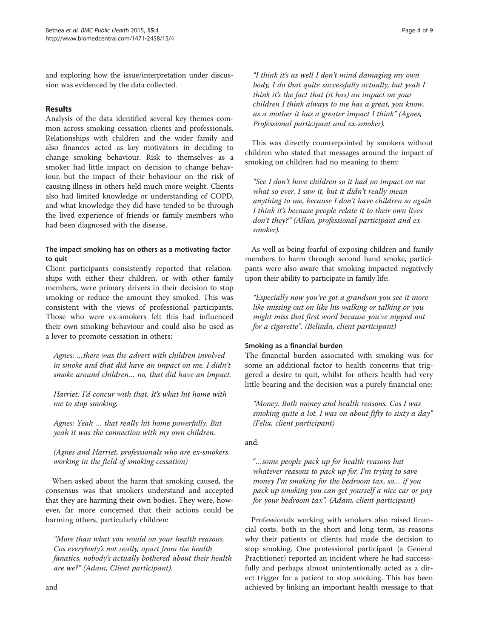and exploring how the issue/interpretation under discussion was evidenced by the data collected.

## Results

Analysis of the data identified several key themes common across smoking cessation clients and professionals. Relationships with children and the wider family and also finances acted as key motivators in deciding to change smoking behaviour. Risk to themselves as a smoker had little impact on decision to change behaviour, but the impact of their behaviour on the risk of causing illness in others held much more weight. Clients also had limited knowledge or understanding of COPD, and what knowledge they did have tended to be through the lived experience of friends or family members who had been diagnosed with the disease.

## The impact smoking has on others as a motivating factor to quit

Client participants consistently reported that relationships with either their children, or with other family members, were primary drivers in their decision to stop smoking or reduce the amount they smoked. This was consistent with the views of professional participants. Those who were ex-smokers felt this had influenced their own smoking behaviour and could also be used as a lever to promote cessation in others:

Agnes: …there was the advert with children involved in smoke and that did have an impact on me. I didn't smoke around children… no, that did have an impact.

Harriet: I'd concur with that. It's what hit home with me to stop smoking.

Agnes: Yeah … that really hit home powerfully. But yeah it was the connection with my own children.

(Agnes and Harriet, professionals who are ex-smokers working in the field of smoking cessation)

When asked about the harm that smoking caused, the consensus was that smokers understand and accepted that they are harming their own bodies. They were, however, far more concerned that their actions could be harming others, particularly children:

"More than what you would on your health reasons. Cos everybody's not really, apart from the health fanatics, nobody's actually bothered about their health are we?" (Adam, Client participant).

"I think it's as well I don't mind damaging my own body, I do that quite successfully actually, but yeah I think it's the fact that (it has) an impact on your children I think always to me has a great, you know, as a mother it has a greater impact I think" (Agnes, Professional participant and ex-smoker).

This was directly counterpointed by smokers without children who stated that messages around the impact of smoking on children had no meaning to them:

"See I don't have children so it had no impact on me what so ever. I saw it, but it didn't really mean anything to me, because I don't have children so again I think it's because people relate it to their own lives don't they?" (Allan, professional participant and exsmoker).

As well as being fearful of exposing children and family members to harm through second hand smoke, participants were also aware that smoking impacted negatively upon their ability to participate in family life:

"Especially now you've got a grandson you see it more like missing out on like his walking or talking or you might miss that first word because you've nipped out for a cigarette". (Belinda, client participant)

## Smoking as a financial burden

The financial burden associated with smoking was for some an additional factor to health concerns that triggered a desire to quit, whilst for others health had very little bearing and the decision was a purely financial one:

"Money. Both money and health reasons. Cos I was smoking quite a lot. I was on about fifty to sixty a day" (Felix, client participant)

## and:

"…some people pack up for health reasons but whatever reasons to pack up for, I'm trying to save money I'm smoking for the bedroom tax, so… if you pack up smoking you can get yourself a nice car or pay for your bedroom tax". (Adam, client participant)

Professionals working with smokers also raised financial costs, both in the short and long term, as reasons why their patients or clients had made the decision to stop smoking. One professional participant (a General Practitioner) reported an incident where he had successfully and perhaps almost unintentionally acted as a direct trigger for a patient to stop smoking. This has been achieved by linking an important health message to that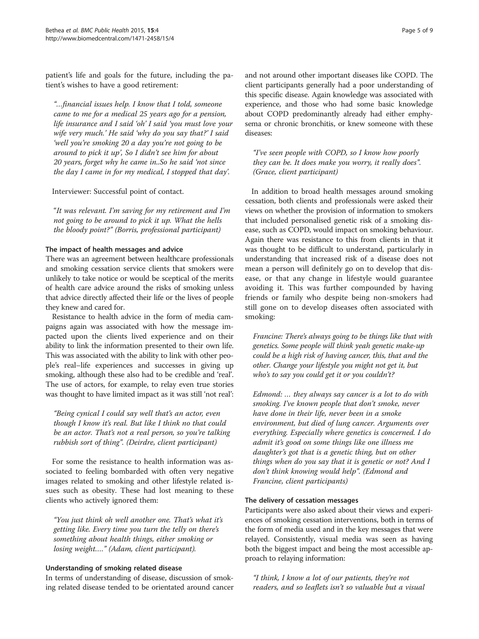patient's life and goals for the future, including the patient's wishes to have a good retirement:

"…financial issues help. I know that I told, someone came to me for a medical 25 years ago for a pension, life insurance and I said 'oh' I said 'you must love your wife very much.' He said 'why do you say that?' I said 'well you're smoking 20 a day you're not going to be around to pick it up', So I didn't see him for about 20 years, forget why he came in..So he said 'not since the day I came in for my medical, I stopped that day'.

Interviewer: Successful point of contact.

"It was relevant. I'm saving for my retirement and I'm not going to be around to pick it up. What the hells the bloody point?" (Borris, professional participant)

## The impact of health messages and advice

There was an agreement between healthcare professionals and smoking cessation service clients that smokers were unlikely to take notice or would be sceptical of the merits of health care advice around the risks of smoking unless that advice directly affected their life or the lives of people they knew and cared for.

Resistance to health advice in the form of media campaigns again was associated with how the message impacted upon the clients lived experience and on their ability to link the information presented to their own life. This was associated with the ability to link with other people's real–life experiences and successes in giving up smoking, although these also had to be credible and 'real'. The use of actors, for example, to relay even true stories was thought to have limited impact as it was still 'not real':

"Being cynical I could say well that's an actor, even though I know it's real. But like I think no that could be an actor. That's not a real person, so you're talking rubbish sort of thing". (Deirdre, client participant)

For some the resistance to health information was associated to feeling bombarded with often very negative images related to smoking and other lifestyle related issues such as obesity. These had lost meaning to these clients who actively ignored them:

"You just think oh well another one. That's what it's getting like. Every time you turn the telly on there's something about health things, either smoking or losing weight…." (Adam, client participant).

#### Understanding of smoking related disease

In terms of understanding of disease, discussion of smoking related disease tended to be orientated around cancer

and not around other important diseases like COPD. The client participants generally had a poor understanding of this specific disease. Again knowledge was associated with experience, and those who had some basic knowledge about COPD predominantly already had either emphysema or chronic bronchitis, or knew someone with these diseases:

"I've seen people with COPD, so I know how poorly they can be. It does make you worry, it really does". (Grace, client participant)

In addition to broad health messages around smoking cessation, both clients and professionals were asked their views on whether the provision of information to smokers that included personalised genetic risk of a smoking disease, such as COPD, would impact on smoking behaviour. Again there was resistance to this from clients in that it was thought to be difficult to understand, particularly in understanding that increased risk of a disease does not mean a person will definitely go on to develop that disease, or that any change in lifestyle would guarantee avoiding it. This was further compounded by having friends or family who despite being non-smokers had still gone on to develop diseases often associated with smoking:

Francine: There's always going to be things like that with genetics. Some people will think yeah genetic make-up could be a high risk of having cancer, this, that and the other. Change your lifestyle you might not get it, but who's to say you could get it or you couldn't?

Edmond: … they always say cancer is a lot to do with smoking. I've known people that don't smoke, never have done in their life, never been in a smoke environment, but died of lung cancer. Arguments over everything. Especially where genetics is concerned. I do admit it's good on some things like one illness me daughter's got that is a genetic thing, but on other things when do you say that it is genetic or not? And I don't think knowing would help". (Edmond and Francine, client participants)

#### The delivery of cessation messages

Participants were also asked about their views and experiences of smoking cessation interventions, both in terms of the form of media used and in the key messages that were relayed. Consistently, visual media was seen as having both the biggest impact and being the most accessible approach to relaying information:

"I think, I know a lot of our patients, they're not readers, and so leaflets isn't so valuable but a visual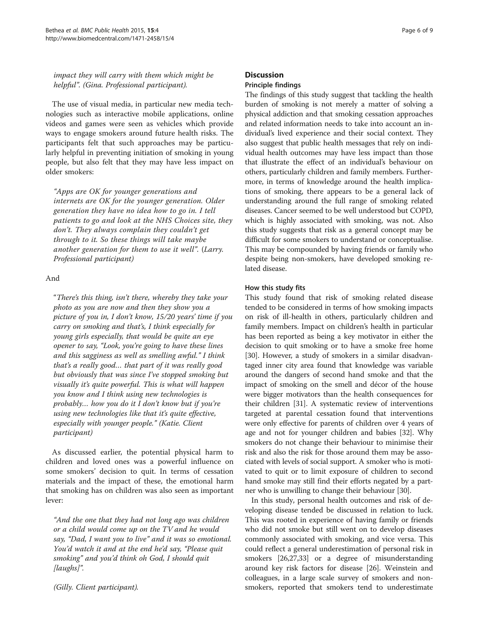impact they will carry with them which might be helpful". (Gina. Professional participant).

The use of visual media, in particular new media technologies such as interactive mobile applications, online videos and games were seen as vehicles which provide ways to engage smokers around future health risks. The participants felt that such approaches may be particularly helpful in preventing initiation of smoking in young people, but also felt that they may have less impact on older smokers:

"Apps are OK for younger generations and internets are OK for the younger generation. Older generation they have no idea how to go in. I tell patients to go and look at the NHS Choices site, they don't. They always complain they couldn't get through to it. So these things will take maybe another generation for them to use it well". (Larry. Professional participant)

## And

"There's this thing, isn't there, whereby they take your photo as you are now and then they show you a picture of you in, I don't know, 15/20 years' time if you carry on smoking and that's, I think especially for young girls especially, that would be quite an eye opener to say, "Look, you're going to have these lines and this sagginess as well as smelling awful." I think that's a really good… that part of it was really good but obviously that was since I've stopped smoking but visually it's quite powerful. This is what will happen you know and I think using new technologies is probably… how you do it I don't know but if you're using new technologies like that it's quite effective, especially with younger people." (Katie. Client participant)

As discussed earlier, the potential physical harm to children and loved ones was a powerful influence on some smokers' decision to quit. In terms of cessation materials and the impact of these, the emotional harm that smoking has on children was also seen as important lever:

"And the one that they had not long ago was children or a child would come up on the TV and he would say, "Dad, I want you to live" and it was so emotional. You'd watch it and at the end he'd say, "Please quit smoking" and you'd think oh God, I should quit [laughs]".

(Gilly. Client participant).

## **Discussion**

## Principle findings

The findings of this study suggest that tackling the health burden of smoking is not merely a matter of solving a physical addiction and that smoking cessation approaches and related information needs to take into account an individual's lived experience and their social context. They also suggest that public health messages that rely on individual health outcomes may have less impact than those that illustrate the effect of an individual's behaviour on others, particularly children and family members. Furthermore, in terms of knowledge around the health implications of smoking, there appears to be a general lack of understanding around the full range of smoking related diseases. Cancer seemed to be well understood but COPD, which is highly associated with smoking, was not. Also this study suggests that risk as a general concept may be difficult for some smokers to understand or conceptualise. This may be compounded by having friends or family who despite being non-smokers, have developed smoking related disease.

## How this study fits

This study found that risk of smoking related disease tended to be considered in terms of how smoking impacts on risk of ill-health in others, particularly children and family members. Impact on children's health in particular has been reported as being a key motivator in either the decision to quit smoking or to have a smoke free home [[30](#page-7-0)]. However, a study of smokers in a similar disadvantaged inner city area found that knowledge was variable around the dangers of second hand smoke and that the impact of smoking on the smell and décor of the house were bigger motivators than the health consequences for their children [[31](#page-7-0)]. A systematic review of interventions targeted at parental cessation found that interventions were only effective for parents of children over 4 years of age and not for younger children and babies [\[32\]](#page-7-0). Why smokers do not change their behaviour to minimise their risk and also the risk for those around them may be associated with levels of social support. A smoker who is motivated to quit or to limit exposure of children to second hand smoke may still find their efforts negated by a partner who is unwilling to change their behaviour [[30](#page-7-0)].

In this study, personal health outcomes and risk of developing disease tended be discussed in relation to luck. This was rooted in experience of having family or friends who did not smoke but still went on to develop diseases commonly associated with smoking, and vice versa. This could reflect a general underestimation of personal risk in smokers [\[26,27](#page-7-0),[33](#page-8-0)] or a degree of misunderstanding around key risk factors for disease [[26](#page-7-0)]. Weinstein and colleagues, in a large scale survey of smokers and nonsmokers, reported that smokers tend to underestimate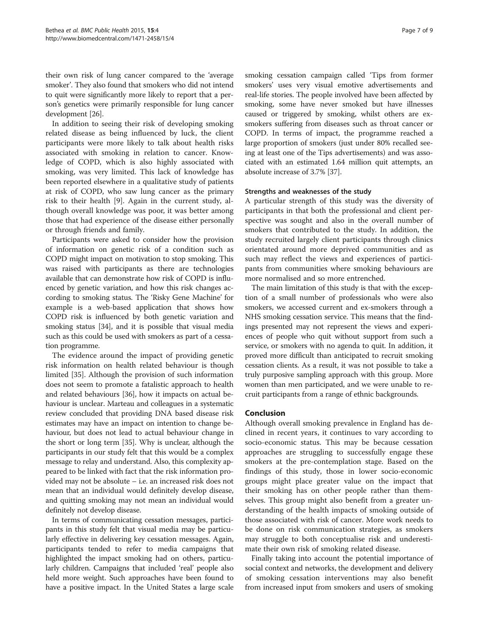their own risk of lung cancer compared to the 'average smoker'. They also found that smokers who did not intend to quit were significantly more likely to report that a person's genetics were primarily responsible for lung cancer development [\[26\]](#page-7-0).

In addition to seeing their risk of developing smoking related disease as being influenced by luck, the client participants were more likely to talk about health risks associated with smoking in relation to cancer. Knowledge of COPD, which is also highly associated with smoking, was very limited. This lack of knowledge has been reported elsewhere in a qualitative study of patients at risk of COPD, who saw lung cancer as the primary risk to their health [[9\]](#page-7-0). Again in the current study, although overall knowledge was poor, it was better among those that had experience of the disease either personally or through friends and family.

Participants were asked to consider how the provision of information on genetic risk of a condition such as COPD might impact on motivation to stop smoking. This was raised with participants as there are technologies available that can demonstrate how risk of COPD is influenced by genetic variation, and how this risk changes according to smoking status. The 'Risky Gene Machine' for example is a web-based application that shows how COPD risk is influenced by both genetic variation and smoking status [\[34\]](#page-8-0), and it is possible that visual media such as this could be used with smokers as part of a cessation programme.

The evidence around the impact of providing genetic risk information on health related behaviour is though limited [[35](#page-8-0)]. Although the provision of such information does not seem to promote a fatalistic approach to health and related behaviours [\[36\]](#page-8-0), how it impacts on actual behaviour is unclear. Marteau and colleagues in a systematic review concluded that providing DNA based disease risk estimates may have an impact on intention to change behaviour, but does not lead to actual behaviour change in the short or long term [[35](#page-8-0)]. Why is unclear, although the participants in our study felt that this would be a complex message to relay and understand. Also, this complexity appeared to be linked with fact that the risk information provided may not be absolute – i.e. an increased risk does not mean that an individual would definitely develop disease, and quitting smoking may not mean an individual would definitely not develop disease.

In terms of communicating cessation messages, participants in this study felt that visual media may be particularly effective in delivering key cessation messages. Again, participants tended to refer to media campaigns that highlighted the impact smoking had on others, particularly children. Campaigns that included 'real' people also held more weight. Such approaches have been found to have a positive impact. In the United States a large scale

smoking cessation campaign called 'Tips from former smokers' uses very visual emotive advertisements and real-life stories. The people involved have been affected by smoking, some have never smoked but have illnesses caused or triggered by smoking, whilst others are exsmokers suffering from diseases such as throat cancer or COPD. In terms of impact, the programme reached a large proportion of smokers (just under 80% recalled seeing at least one of the Tips advertisements) and was associated with an estimated 1.64 million quit attempts, an absolute increase of 3.7% [\[37\]](#page-8-0).

## Strengths and weaknesses of the study

A particular strength of this study was the diversity of participants in that both the professional and client perspective was sought and also in the overall number of smokers that contributed to the study. In addition, the study recruited largely client participants through clinics orientated around more deprived communities and as such may reflect the views and experiences of participants from communities where smoking behaviours are more normalised and so more entrenched.

The main limitation of this study is that with the exception of a small number of professionals who were also smokers, we accessed current and ex-smokers through a NHS smoking cessation service. This means that the findings presented may not represent the views and experiences of people who quit without support from such a service, or smokers with no agenda to quit. In addition, it proved more difficult than anticipated to recruit smoking cessation clients. As a result, it was not possible to take a truly purposive sampling approach with this group. More women than men participated, and we were unable to recruit participants from a range of ethnic backgrounds.

## Conclusion

Although overall smoking prevalence in England has declined in recent years, it continues to vary according to socio-economic status. This may be because cessation approaches are struggling to successfully engage these smokers at the pre-contemplation stage. Based on the findings of this study, those in lower socio-economic groups might place greater value on the impact that their smoking has on other people rather than themselves. This group might also benefit from a greater understanding of the health impacts of smoking outside of those associated with risk of cancer. More work needs to be done on risk communication strategies, as smokers may struggle to both conceptualise risk and underestimate their own risk of smoking related disease.

Finally taking into account the potential importance of social context and networks, the development and delivery of smoking cessation interventions may also benefit from increased input from smokers and users of smoking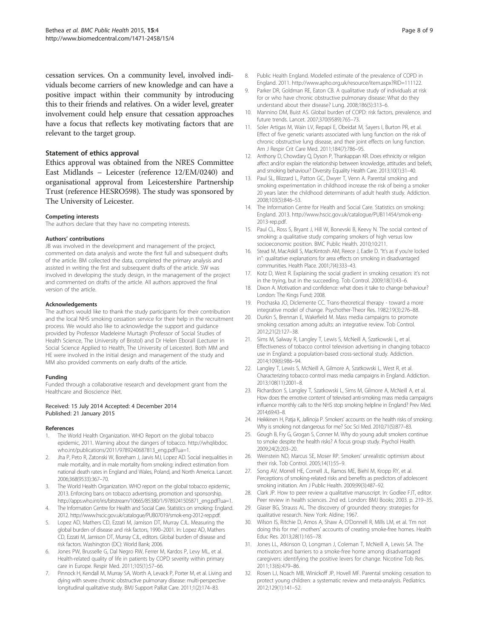<span id="page-7-0"></span>cessation services. On a community level, involved individuals become carriers of new knowledge and can have a positive impact within their community by introducing this to their friends and relatives. On a wider level, greater involvement could help ensure that cessation approaches have a focus that reflects key motivating factors that are relevant to the target group.

#### Statement of ethics approval

Ethics approval was obtained from the NRES Committee East Midlands – Leicester (reference 12/EM/0240) and organisational approval from Leicestershire Partnership Trust (reference HESRO598). The study was sponsored by The University of Leicester.

#### Competing interests

The authors declare that they have no competing interests.

#### Authors' contributions

JB was involved in the development and management of the project, commented on data analysis and wrote the first full and subsequent drafts of the article. BM collected the data, completed the primary analysis and assisted in writing the first and subsequent drafts of the article. SW was involved in developing the study design, in the management of the project and commented on drafts of the article. All authors approved the final version of the article.

#### Acknowledgements

The authors would like to thank the study participants for their contribution and the local NHS smoking cessation service for their help in the recruitment process. We would also like to acknowledge the support and guidance provided by Professor Madeleine Murtagh (Professor of Social Studies of Health Science, The University of Bristol) and Dr Helen Eborall (Lecturer in Social Science Applied to Health, The University of Leicester). Both MM and HE were involved in the initial design and management of the study and MM also provided comments on early drafts of the article.

#### Funding

Funded through a collaborative research and development grant from the Healthcare and Bioscience iNet.

#### Received: 15 July 2014 Accepted: 4 December 2014 Published: 21 January 2015

#### References

- 1. The World Health Organization. WHO Report on the global tobacco epidemic, 2011. Warning about the dangers of tobacco. [http://whqlibdoc.](http://whqlibdoc.who.int/publications/2011/9789240687813_eng.pdf?ua=1) [who.int/publications/2011/9789240687813\\_eng.pdf?ua=1](http://whqlibdoc.who.int/publications/2011/9789240687813_eng.pdf?ua=1).
- 2. Jha P, Peto R, Zatonski W, Boreham J, Jarvis MJ, Lopez AD. Social inequalities in male mortality, and in male mortality from smoking: indirect estimation from national death rates in England and Wales, Poland, and North America. Lancet. 2006;368(9533):367–70.
- 3. The World Health Organization. WHO report on the global tobacco epidemic, 2013. Enforcing bans on tobacco advertising, promotion and sponsorship. [http://apps.who.int/iris/bitstream/10665/85380/1/9789241505871\\_eng.pdf?ua=1](http://apps.who.int/iris/bitstream/10665/85380/1/9789241505871_eng.pdf?ua=1).
- 4. The Information Centre for Health and Social Care. Statistics on smoking: England. 2012.<http://www.hscic.gov.uk/catalogue/PUB07019/smok-eng-2012-rep.pdf>.
- 5. Lopez AD, Mathers CD, Ezzati M, Jamison DT, Murray CJL. Measuring the global burden of disease and risk factors, 1990–2001. In: Lopez AD, Mathers CD, Ezzati M, Jamison DT, Murray CJL, editors. Global burden of disease and risk factors. Washington (DC): World Bank; 2006.
- Jones PW, Brusselle G, Dal Negro RW, Ferrer M, Kardos P, Levy ML, et al. Health-related quality of life in patients by COPD severity within primary care in Europe. Respir Med. 2011;105(1):57–66.
- 7. Pinnock H, Kendall M, Murray SA, Worth A, Levack P, Porter M, et al. Living and dying with severe chronic obstructive pulmonary disease: multi-perspective longitudinal qualitative study. BMJ Support Palliat Care. 2011;1(2):174–83.
- 8. Public Health England. Modelled estimate of the prevalence of COPD in England. 2011. [http://www.apho.org.uk/resource/item.aspx?RID=111122.](http://www.apho.org.uk/resource/item.aspx?RID=111122)
- 9. Parker DR, Goldman RE, Eaton CB. A qualitative study of individuals at risk for or who have chronic obstructive pulmonary disease: What do they understand about their disease? Lung. 2008;186(5):313–6.
- 10. Mannino DM, Buist AS. Global burden of COPD: risk factors, prevalence, and future trends. Lancet. 2007;370(9589):765–73.
- 11. Soler Artigas M, Wain LV, Repapi E, Obeidat M, Sayers I, Burton PR, et al. Effect of five genetic variants associated with lung function on the risk of chronic obstructive lung disease, and their joint effects on lung function. Am J Respir Crit Care Med. 2011;184(7):786–95.
- 12. Anthony D, Chowdary O, Dyson P, Thankappan KR, Does ethnicity or religion affect and/or explain the relationship between knowledge, attitudes and beliefs, and smoking behaviour? Diversity Equality Health Care. 2013;10(1):31–40.
- 13. Paul SL, Blizzard L, Patton GC, Dwyer T, Venn A. Parental smoking and smoking experimentation in childhood increase the risk of being a smoker 20 years later: the childhood determinants of adult health study. Addiction. 2008;103(5):846–53.
- 14. The Information Centre for Health and Social Care. Statistics on smoking: England. 2013. [http://www.hscic.gov.uk/catalogue/PUB11454/smok-eng-](http://www.hscic.gov.uk/catalogue/PUB11454/smok-eng-2013-rep.pdf)[2013-rep.pdf.](http://www.hscic.gov.uk/catalogue/PUB11454/smok-eng-2013-rep.pdf)
- 15. Paul CL, Ross S, Bryant J, Hill W, Bonevski B, Keevy N. The social context of smoking: a qualitative study comparing smokers of high versus low socioeconomic position. BMC Public Health. 2010;10:211.
- 16. Stead M, MacAskill S, MacKintosh AM, Reece J, Eadie D. "It's as if you're locked in": qualitative explanations for area effects on smoking in disadvantaged communities. Health Place. 2001;7(4):333–43.
- 17. Kotz D, West R. Explaining the social gradient in smoking cessation: it's not in the trying, but in the succeeding. Tob Control. 2009;18(1):43–6.
- 18. Dixon A. Motivation and confidence: what does it take to change behaviour? London: The Kings Fund; 2008.
- 19. Prochaska JO, Diclemente CC. Trans-theoretical therapy toward a more integrative model of change. Psychother-Theor Res. 1982;19(3):276–88.
- 20. Durkin S, Brennan E, Wakefield M. Mass media campaigns to promote smoking cessation among adults: an integrative review. Tob Control. 2012;21(2):127–38.
- 21. Sims M, Salway R, Langley T, Lewis S, McNeill A, Szatkowski L, et al. Effectiveness of tobacco control television advertising in changing tobacco use in England: a population-based cross-sectional study. Addiction. 2014;109(6):986–94.
- 22. Langley T, Lewis S, McNeill A, Gilmore A, Szatkowski L, West R, et al. Characterizing tobacco control mass media campaigns in England. Addiction. 2013;108(11):2001–8.
- 23. Richardson S, Langley T, Szatkowski L, Sims M, Gilmore A, McNeill A, et al. How does the emotive content of televised anti-smoking mass media campaigns influence monthly calls to the NHS stop smoking helpline in England? Prev Med. 2014;69:43–8.
- 24. Heikkinen H, Patja K, Jallinoja P. Smokers' accounts on the health risks of smoking: Why is smoking not dangerous for me? Soc Sci Med. 2010;71(5):877–83.
- 25. Gough B, Fry G, Grogan S, Conner M. Why do young adult smokers continue to smoke despite the health risks? A focus group study. Psychol Health. 2009;24(2):203–20.
- 26. Weinstein ND, Marcus SE, Moser RP. Smokers' unrealistic optimism about their risk. Tob Control. 2005;14(1):55–9.
- 27. Song AV, Morrell HE, Cornell JL, Ramos ME, Biehl M, Kropp RY, et al. Perceptions of smoking-related risks and benefits as predictors of adolescent smoking initiation. Am J Public Health. 2009;99(3):487–92.
- 28. Clark JP. How to peer review a qualitative manuscript. In: Godlee FJT, editor. Peer review in health sciences. 2nd ed. London: BMJ Books; 2003. p. 219–35.
- 29. Glaser BG, Strauss AL. The discovery of grounded theory: strategies for qualitative research. New York: Aldine; 1967.
- 30. Wilson IS, Ritchie D, Amos A, Shaw A, O'Donnell R, Mills LM, et al. 'I'm not doing this for me': mothers' accounts of creating smoke-free homes. Health Educ Res. 2013;28(1):165–78.
- 31. Jones LL, Atkinson O, Longman J, Coleman T, McNeill A, Lewis SA. The motivators and barriers to a smoke-free home among disadvantaged caregivers: identifying the positive levers for change. Nicotine Tob Res. 2011;13(6):479–86.
- 32. Rosen LJ, Noach MB, Winickoff JP, Hovell MF. Parental smoking cessation to protect young children: a systematic review and meta-analysis. Pediatrics. 2012;129(1):141–52.